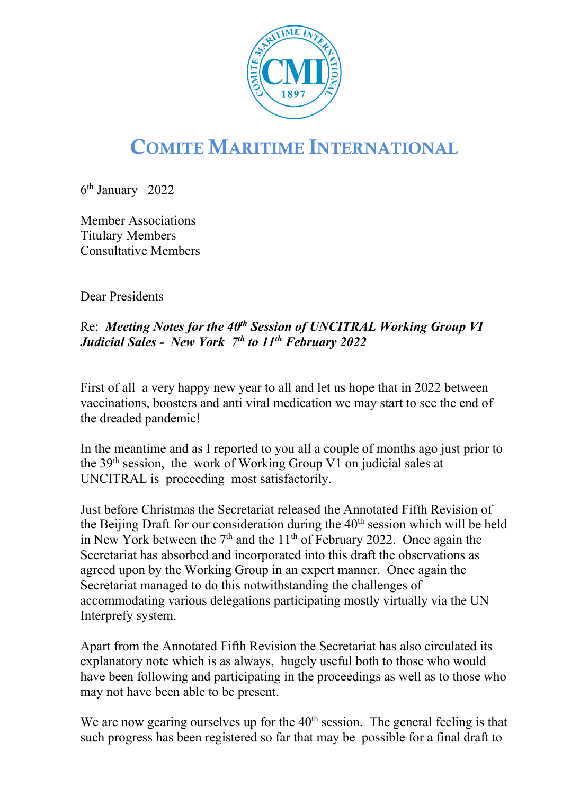

## COMITE MARITIME INTERNATIONAL

6th January 2022

Member Associations Titulary Members Consultative Members

Dear Presidents

## Re: *Meeting Notes for the 40<sup>th</sup> Session of UNCITRAL Working Group VI Judicial Sales - New York 7th to 11th February 2022*

First of all a very happy new year to all and let us hope that in 2022 between vaccinations, boosters and anti viral medication we may start to see the end of the dreaded pandemic!

In the meantime and as I reported to you all a couple of months ago just prior to the  $39<sup>th</sup>$  session, the work of Working Group V1 on judicial sales at UNCITRAL is proceeding most satisfactorily.

Just before Christmas the Secretariat released the Annotated Fifth Revision of the Beijing Draft for our consideration during the  $40<sup>th</sup>$  session which will be held in New York between the  $7<sup>th</sup>$  and the  $11<sup>th</sup>$  of February 2022. Once again the Secretariat has absorbed and incorporated into this draft the observations as agreed upon by the Working Group in an expert manner. Once again the Secretariat managed to do this notwithstanding the challenges of accommodating various delegations participating mostly virtually via the UN Interprefy system.

Apart from the Annotated Fifth Revision the Secretariat has also circulated its explanatory note which is as always, hugely useful both to those who would have been following and participating in the proceedings as well as to those who may not have been able to be present.

We are now gearing ourselves up for the  $40<sup>th</sup>$  session. The general feeling is that such progress has been registered so far that may be possible for a final draft to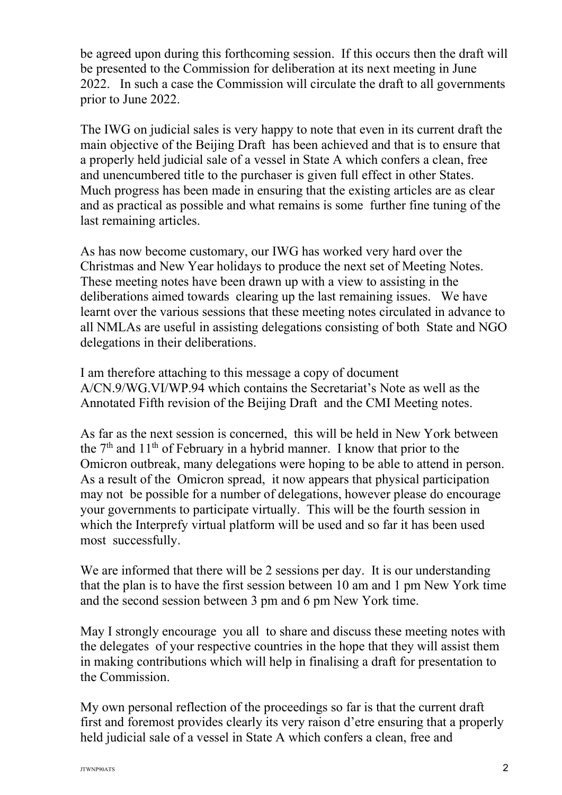be agreed upon during this forthcoming session. If this occurs then the draft will be presented to the Commission for deliberation at its next meeting in June 2022. In such a case the Commission will circulate the draft to all governments prior to June 2022.

The IWG on judicial sales is very happy to note that even in its current draft the main objective of the Beijing Draft has been achieved and that is to ensure that a properly held judicial sale of a vessel in State A which confers a clean, free and unencumbered title to the purchaser is given full effect in other States. Much progress has been made in ensuring that the existing articles are as clear and as practical as possible and what remains is some further fine tuning of the last remaining articles.

As has now become customary, our IWG has worked very hard over the Christmas and New Year holidays to produce the next set of Meeting Notes. These meeting notes have been drawn up with a view to assisting in the deliberations aimed towards clearing up the last remaining issues. We have learnt over the various sessions that these meeting notes circulated in advance to all NMLAs are useful in assisting delegations consisting of both State and NGO delegations in their deliberations.

I am therefore attaching to this message a copy of document A/CN.9/WG.VI/WP.94 which contains the Secretariat's Note as well as the Annotated Fifth revision of the Beijing Draft and the CMI Meeting notes.

As far as the next session is concerned, this will be held in New York between the  $7<sup>th</sup>$  and  $11<sup>th</sup>$  of February in a hybrid manner. I know that prior to the Omicron outbreak, many delegations were hoping to be able to attend in person. As a result of the Omicron spread, it now appears that physical participation may not be possible for a number of delegations, however please do encourage your governments to participate virtually. This will be the fourth session in which the Interprefy virtual platform will be used and so far it has been used most successfully.

We are informed that there will be 2 sessions per day. It is our understanding that the plan is to have the first session between 10 am and 1 pm New York time and the second session between 3 pm and 6 pm New York time.

May I strongly encourage you all to share and discuss these meeting notes with the delegates of your respective countries in the hope that they will assist them in making contributions which will help in finalising a draft for presentation to the Commission.

My own personal reflection of the proceedings so far is that the current draft first and foremost provides clearly its very raison d'etre ensuring that a properly held judicial sale of a vessel in State A which confers a clean, free and